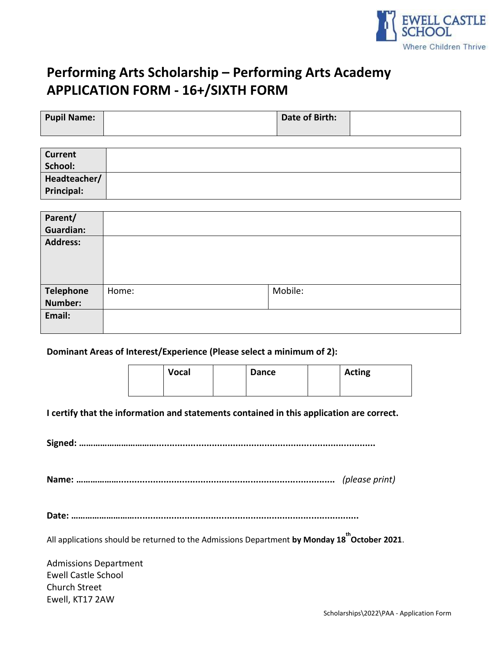

# **Performing Arts Scholarship – Performing Arts Academy APPLICATION FORM ‐ 16+/SIXTH FORM**

| <b>Pupil Name:</b> | Date of Birth: |  |
|--------------------|----------------|--|
|                    |                |  |

| <b>Current</b> |  |
|----------------|--|
| School:        |  |
| Headteacher/   |  |
| Principal:     |  |

| Parent/<br><b>Guardian:</b> |       |         |
|-----------------------------|-------|---------|
| <b>Address:</b>             |       |         |
| <b>Telephone</b>            | Home: | Mobile: |
| <b>Number:</b>              |       |         |
| Email:                      |       |         |

#### **Dominant Areas of Interest/Experience (Please select a minimum of 2):**

| <b>Vocal</b> | <b>Dance</b> | <b>Acting</b> |
|--------------|--------------|---------------|
|              |              |               |

**I certify that the information and statements contained in this application are correct.** 

**Signed: ……………………………...................................................................................**

**Name: ………………..................................................................................** *(please print)*

**Date: ……………………….....................................................................................**

All applications should be returned to the Admissions Department **by Monday 18 th October 2021**.

Admissions Department Ewell Castle School Church Street Ewell, KT17 2AW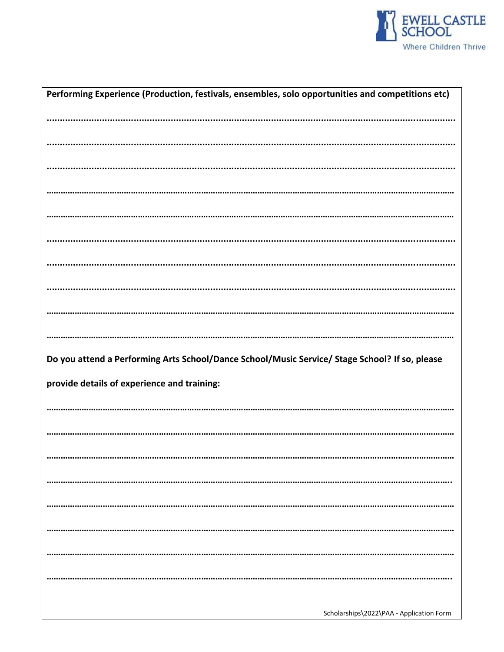

| Performing Experience (Production, festivals, ensembles, solo opportunities and competitions etc) |
|---------------------------------------------------------------------------------------------------|
|                                                                                                   |
|                                                                                                   |
|                                                                                                   |
|                                                                                                   |
|                                                                                                   |
|                                                                                                   |
|                                                                                                   |
|                                                                                                   |
|                                                                                                   |
|                                                                                                   |
|                                                                                                   |
| Do you attend a Performing Arts School/Dance School/Music Service/ Stage School? If so, please    |
| provide details of experience and training:                                                       |
|                                                                                                   |
|                                                                                                   |
|                                                                                                   |
|                                                                                                   |
|                                                                                                   |
|                                                                                                   |
|                                                                                                   |
|                                                                                                   |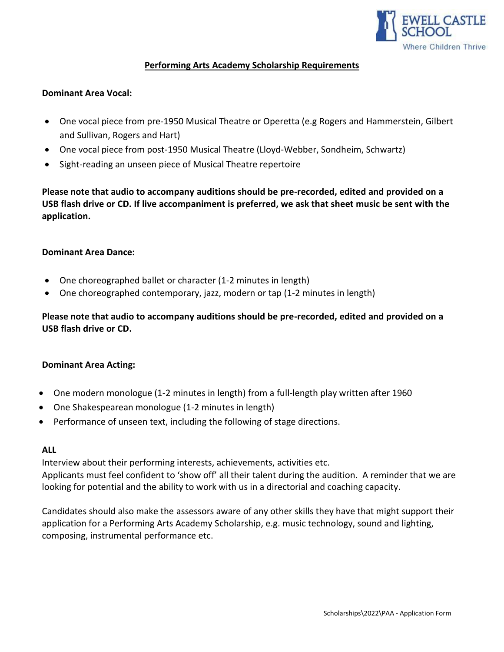

# **Performing Arts Academy Scholarship Requirements**

### **Dominant Area Vocal:**

- One vocal piece from pre-1950 Musical Theatre or Operetta (e.g Rogers and Hammerstein, Gilbert and Sullivan, Rogers and Hart)
- One vocal piece from post-1950 Musical Theatre (Lloyd-Webber, Sondheim, Schwartz)
- Sight-reading an unseen piece of Musical Theatre repertoire

**Please note that audio to accompany auditions should be pre-recorded, edited and provided on a USB flash drive or CD. If live accompaniment is preferred, we ask that sheet music be sent with the application.**

#### **Dominant Area Dance:**

- One choreographed ballet or character (1-2 minutes in length)
- One choreographed contemporary, jazz, modern or tap (1-2 minutes in length)

**Please note that audio to accompany auditions should be pre-recorded, edited and provided on a USB flash drive or CD.**

## **Dominant Area Acting:**

- One modern monologue (1-2 minutes in length) from a full-length play written after 1960
- One Shakespearean monologue (1-2 minutes in length)
- Performance of unseen text, including the following of stage directions.

#### **ALL**

Interview about their performing interests, achievements, activities etc.

Applicants must feel confident to 'show off' all their talent during the audition. A reminder that we are looking for potential and the ability to work with us in a directorial and coaching capacity.

Candidates should also make the assessors aware of any other skills they have that might support their application for a Performing Arts Academy Scholarship, e.g. music technology, sound and lighting, composing, instrumental performance etc.